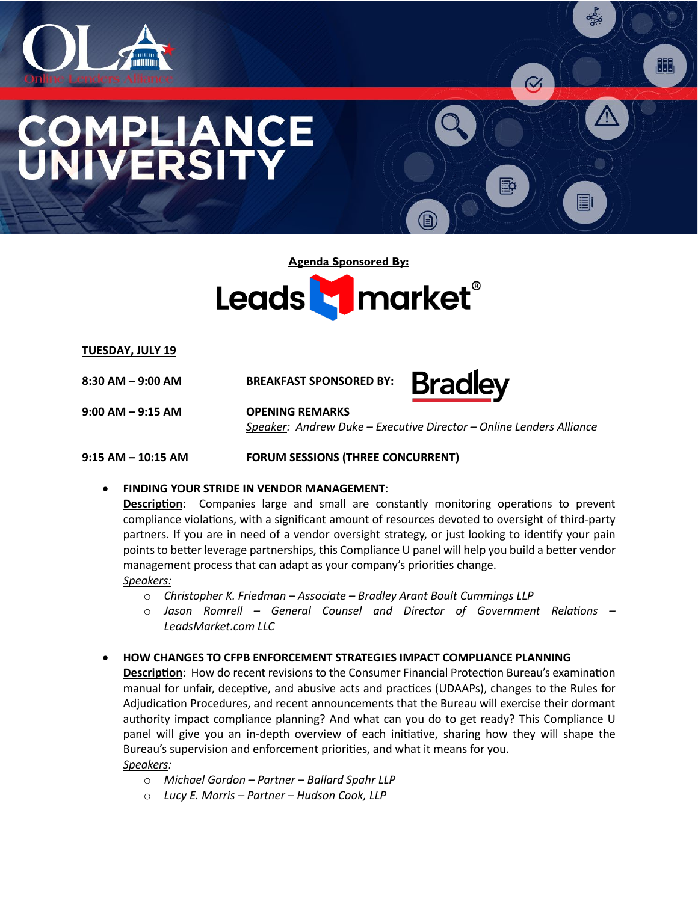

# LIANCE ERSI

**Agenda Sponsored By:**



**TUESDAY, JULY 19**

**8:30 AM – 9:00 AM BREAKFAST SPONSORED BY:**

**9:00 AM – 9:15 AM OPENING REMARKS** 

 *Speaker: Andrew Duke – Executive Director – Online Lenders Alliance* 

**Bradley** 

ᆥ.

 $\alpha$ 

 $\blacksquare$ 

题

**9:15 AM – 10:15 AM FORUM SESSIONS (THREE CONCURRENT)** 

• **FINDING YOUR STRIDE IN VENDOR MANAGEMENT**:

Description: Companies large and small are constantly monitoring operations to prevent compliance violations, with a significant amount of resources devoted to oversight of third-party partners. If you are in need of a vendor oversight strategy, or just looking to iden�fy your pain points to better leverage partnerships, this Compliance U panel will help you build a better vendor management process that can adapt as your company's priorities change. *Speakers:* 

- o *Christopher K. Friedman Associate Bradley Arant Boult Cummings LLP*
- o *Jason Romrell General Counsel and Director of Government Relations LeadsMarket.com LLC*
- **HOW CHANGES TO CFPB ENFORCEMENT STRATEGIES IMPACT COMPLIANCE PLANNING**

**Description**: How do recent revisions to the Consumer Financial Protection Bureau's examination manual for unfair, deceptive, and abusive acts and practices (UDAAPs), changes to the Rules for Adjudication Procedures, and recent announcements that the Bureau will exercise their dormant authority impact compliance planning? And what can you do to get ready? This Compliance U panel will give you an in-depth overview of each initiative, sharing how they will shape the Bureau's supervision and enforcement priorities, and what it means for you. *Speakers:* 

- o *Michael Gordon Partner Ballard Spahr LLP*
- o *Lucy E. Morris Partner Hudson Cook, LLP*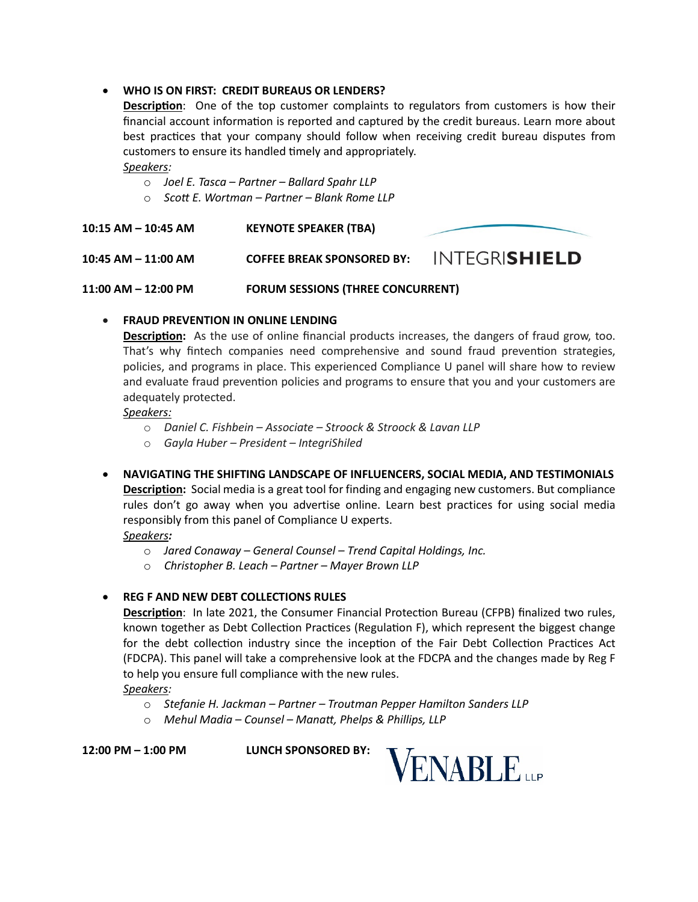# • **WHO IS ON FIRST: CREDIT BUREAUS OR LENDERS?**

**Description**: One of the top customer complaints to regulators from customers is how their financial account information is reported and captured by the credit bureaus. Learn more about best prac�ces that your company should follow when receiving credit bureau disputes from customers to ensure its handled timely and appropriately.

#### *Speakers:*

- o *Joel E. Tasca Partner Ballard Spahr LLP*
- o *Scott E. Wortman Partner Blank Rome LLP*

**10:15 AM – 10:45 AM KEYNOTE SPEAKER (TBA)**

**10:45 AM – 11:00 AM COFFEE BREAK SPONSORED BY:** 

**11:00 AM – 12:00 PM FORUM SESSIONS (THREE CONCURRENT)** 

# • **FRAUD PREVENTION IN ONLINE LENDING**

**Description:** As the use of online financial products increases, the dangers of fraud grow, too. That's why fintech companies need comprehensive and sound fraud prevention strategies, policies, and programs in place. This experienced Compliance U panel will share how to review and evaluate fraud prevention policies and programs to ensure that you and your customers are adequately protected.

#### *Speakers:*

- o *Daniel C. Fishbein Associate Stroock & Stroock & Lavan LLP*
- o *Gayla Huber President IntegriShiled*
- **NAVIGATING THE SHIFTING LANDSCAPE OF INFLUENCERS, SOCIAL MEDIA, AND TESTIMONIALS Description:** Social media is a great tool for finding and engaging new customers. But compliance rules don't go away when you advertise online. Learn best practices for using social media responsibly from this panel of Compliance U experts.

# *Speakers:*

- o *Jared Conaway General Counsel Trend Capital Holdings, Inc.*
- o *Christopher B. Leach Partner Mayer Brown LLP*

# • **REG F AND NEW DEBT COLLECTIONS RULES**

**Description**: In late 2021, the Consumer Financial Protection Bureau (CFPB) finalized two rules, known together as Debt Collection Practices (Regulation F), which represent the biggest change for the debt collection industry since the inception of the Fair Debt Collection Practices Act (FDCPA). This panel will take a comprehensive look at the FDCPA and the changes made by Reg F to help you ensure full compliance with the new rules.

# *Speakers:*

- o *Stefanie H. Jackman Partner Troutman Pepper Hamilton Sanders LLP*
- o *Mehul Madia Counsel Manatt, Phelps & Phillips, LLP*

**12:00 PM – 1:00 PM LUNCH SPONSORED BY:** 



**INTEGRISHIELD**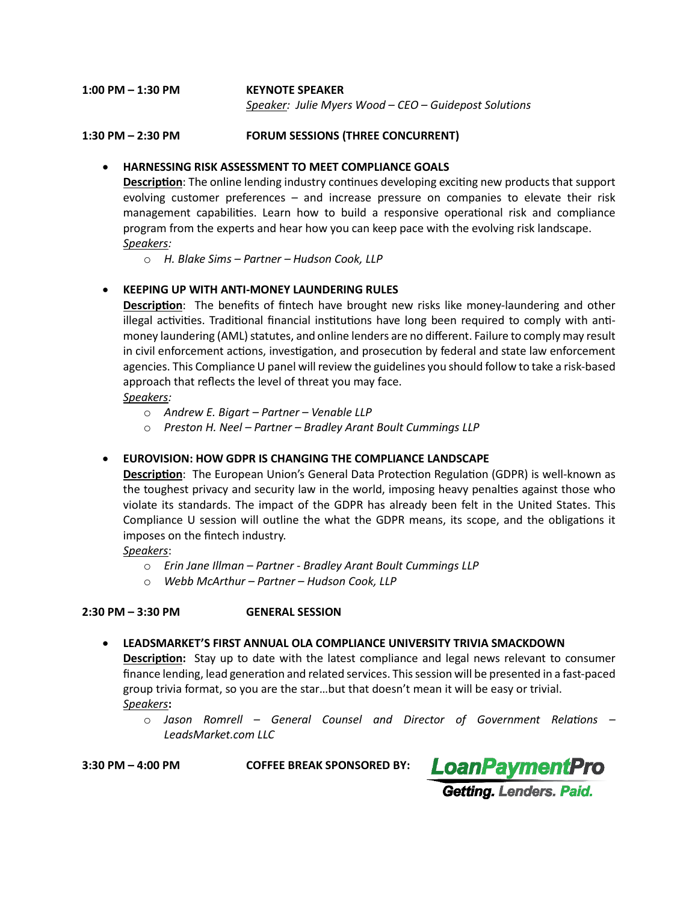**1:00 PM – 1:30 PM KEYNOTE SPEAKER**   *Speaker: Julie Myers Wood – CEO – Guidepost Solutions*

#### **1:30 PM – 2:30 PM FORUM SESSIONS (THREE CONCURRENT)**

#### • **HARNESSING RISK ASSESSMENT TO MEET COMPLIANCE GOALS**

**Description**: The online lending industry continues developing exciting new products that support evolving customer preferences – and increase pressure on companies to elevate their risk management capabilities. Learn how to build a responsive operational risk and compliance program from the experts and hear how you can keep pace with the evolving risk landscape. *Speakers:* 

o *H. Blake Sims – Partner – Hudson Cook, LLP*

# • **KEEPING UP WITH ANTI-MONEY LAUNDERING RULES**

**Description**: The benefits of fintech have brought new risks like money-laundering and other illegal activities. Traditional financial institutions have long been required to comply with antimoney laundering (AML) statutes, and online lenders are no different. Failure to comply may result in civil enforcement actions, investigation, and prosecution by federal and state law enforcement agencies. This Compliance U panel will review the guidelines you should follow to take a risk-based approach that reflects the level of threat you may face.

#### *Speakers:*

- o *Andrew E. Bigart Partner Venable LLP*
- o *Preston H. Neel Partner Bradley Arant Boult Cummings LLP*

# • **EUROVISION: HOW GDPR IS CHANGING THE COMPLIANCE LANDSCAPE**

**Description**: The European Union's General Data Protection Regulation (GDPR) is well-known as the toughest privacy and security law in the world, imposing heavy penal�es against those who violate its standards. The impact of the GDPR has already been felt in the United States. This Compliance U session will outline the what the GDPR means, its scope, and the obligations it imposes on the fintech industry.

*Speakers*:

- o *Erin Jane Illman Partner Bradley Arant Boult Cummings LLP*
- o *Webb McArthur Partner Hudson Cook, LLP*

#### **2:30 PM – 3:30 PM GENERAL SESSION**

#### • **LEADSMARKET'S FIRST ANNUAL OLA COMPLIANCE UNIVERSITY TRIVIA SMACKDOWN**

**Description:** Stay up to date with the latest compliance and legal news relevant to consumer finance lending, lead generation and related services. This session will be presented in a fast-paced group trivia format, so you are the star…but that doesn't mean it will be easy or trivial.

#### *Speakers***:**

o *Jason Romrell – General Counsel and Director of Government Relations – LeadsMarket.com LLC*

**3:30 PM – 4:00 PM COFFEE BREAK SPONSORED BY:** 

**LoanPaymentPro** Getting. Lenders. Paid.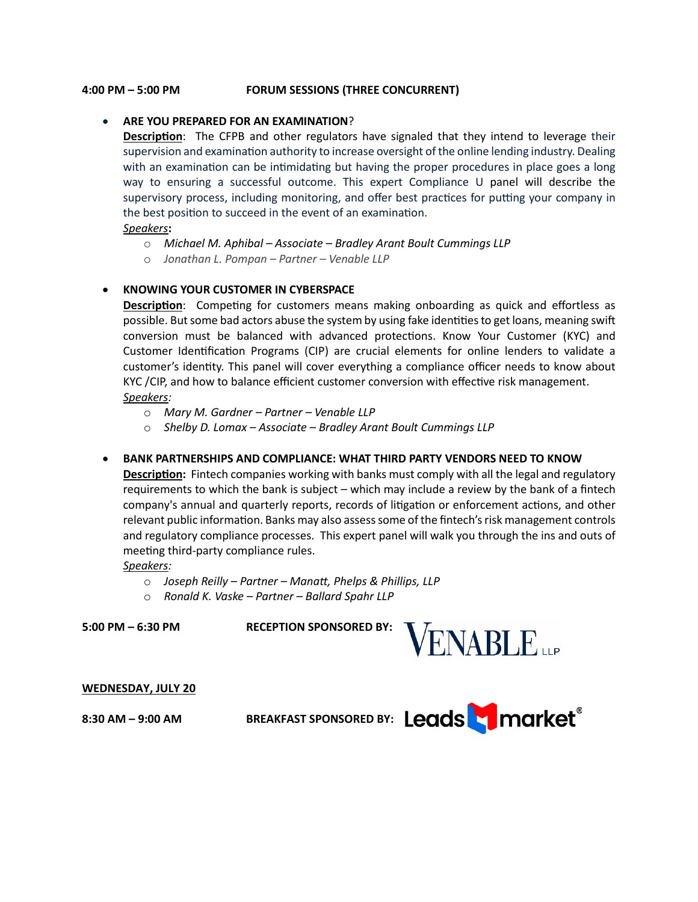#### **4:00 PM – 5:00 PM FORUM SESSIONS (THREE CONCURRENT)**

# • **ARE YOU PREPARED FOR AN EXAMINATION**?

**Description**: The CFPB and other regulators have signaled that they intend to leverage their supervision and examination authority to increase oversight of the online lending industry. Dealing with an examination can be intimidating but having the proper procedures in place goes a long way to ensuring a successful outcome. This expert Compliance U panel will describe the supervisory process, including monitoring, and offer best practices for putting your company in the best position to succeed in the event of an examination.

*Speakers***:** 

- o *Michael M. Aphibal Associate Bradley Arant Boult Cummings LLP*
- o *Jonathan L. Pompan Partner Venable LLP*

#### • **KNOWING YOUR CUSTOMER IN CYBERSPACE**

**Description**: Competing for customers means making onboarding as quick and effortless as possible. But some bad actors abuse the system by using fake identities to get loans, meaning swift conversion must be balanced with advanced protections. Know Your Customer (KYC) and Customer Identification Programs (CIP) are crucial elements for online lenders to validate a customer's iden�ty. This panel will cover everything a compliance officer needs to know about KYC / CIP, and how to balance efficient customer conversion with effective risk management. *Speakers:* 

- o *Mary M. Gardner Partner Venable LLP*
- o *Shelby D. Lomax Associate Bradley Arant Boult Cummings LLP*
- **BANK PARTNERSHIPS AND COMPLIANCE: WHAT THIRD PARTY VENDORS NEED TO KNOW**

**Description:** Fintech companies working with banks must comply with all the legal and regulatory requirements to which the bank is subject – which may include a review by the bank of a fintech company's annual and quarterly reports, records of litigation or enforcement actions, and other relevant public information. Banks may also assess some of the fintech's risk management controls and regulatory compliance processes. This expert panel will walk you through the ins and outs of meeting third-party compliance rules.

#### *Speakers:*

- o *Joseph Reilly Partner Manatt, Phelps & Phillips, LLP*
- o *Ronald K. Vaske Partner Ballard Spahr LLP*

**5:00 PM – 6:30 PM RECEPTION SPONSORED BY:** 



#### **WEDNESDAY, JULY 20**

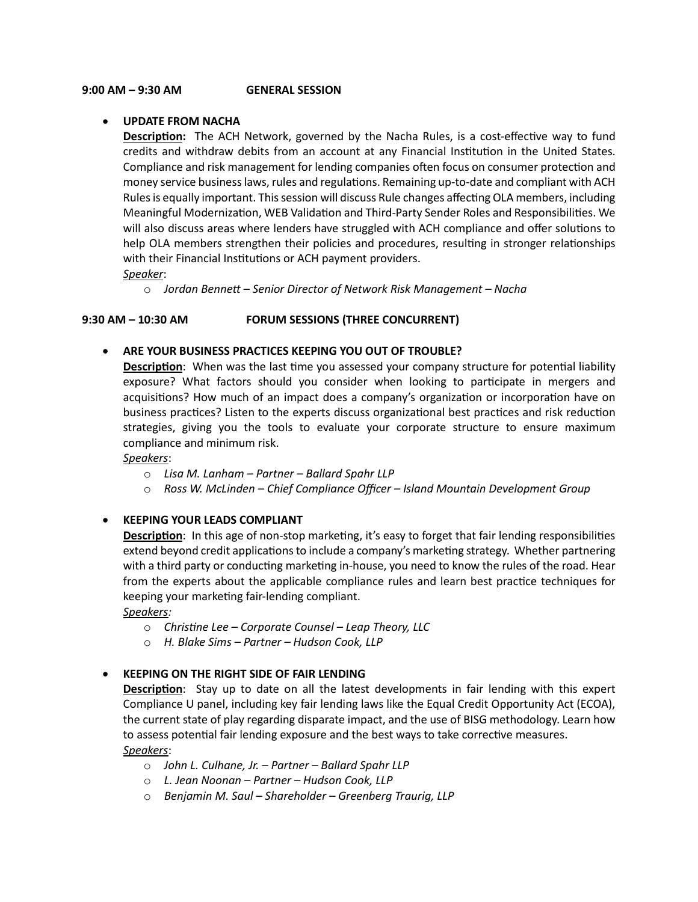# • **UPDATE FROM NACHA**

**Description:** The ACH Network, governed by the Nacha Rules, is a cost-effective way to fund credits and withdraw debits from an account at any Financial Institution in the United States. Compliance and risk management for lending companies often focus on consumer protection and money service business laws, rules and regulations. Remaining up-to-date and compliant with ACH Rules is equally important. This session will discuss Rule changes affecting OLA members, including Meaningful Modernization, WEB Validation and Third-Party Sender Roles and Responsibilities. We will also discuss areas where lenders have struggled with ACH compliance and offer solutions to help OLA members strengthen their policies and procedures, resulting in stronger relationships with their Financial Institutions or ACH payment providers.

*Speaker*:

o *Jordan Bennett – Senior Director of Network Risk Management – Nacha*

#### **9:30 AM – 10:30 AM FORUM SESSIONS (THREE CONCURRENT)**

#### • **ARE YOUR BUSINESS PRACTICES KEEPING YOU OUT OF TROUBLE?**

**Description**: When was the last time you assessed your company structure for potential liability exposure? What factors should you consider when looking to par�cipate in mergers and acquisitions? How much of an impact does a company's organization or incorporation have on business practices? Listen to the experts discuss organizational best practices and risk reduction strategies, giving you the tools to evaluate your corporate structure to ensure maximum compliance and minimum risk.

# *Speakers*:

- o *Lisa M. Lanham Partner Ballard Spahr LLP*
- o *Ross W. McLinden Chief Compliance Officer Island Mountain Development Group*

# • **KEEPING YOUR LEADS COMPLIANT**

**Description**: In this age of non-stop marketing, it's easy to forget that fair lending responsibilities extend beyond credit applications to include a company's marketing strategy. Whether partnering with a third party or conducting marketing in-house, you need to know the rules of the road. Hear from the experts about the applicable compliance rules and learn best practice techniques for keeping your marketing fair-lending compliant.

*Speakers:* 

- o *Christine Lee Corporate Counsel Leap Theory, LLC*
- o *H. Blake Sims Partner Hudson Cook, LLP*

# • **KEEPING ON THE RIGHT SIDE OF FAIR LENDING**

**Description**: Stay up to date on all the latest developments in fair lending with this expert Compliance U panel, including key fair lending laws like the Equal Credit Opportunity Act (ECOA), the current state of play regarding disparate impact, and the use of BISG methodology. Learn how to assess potential fair lending exposure and the best ways to take corrective measures. *Speakers*:

- o *John L. Culhane, Jr. Partner Ballard Spahr LLP*
- o *L. Jean Noonan Partner Hudson Cook, LLP*
- o *Benjamin M. Saul Shareholder Greenberg Traurig, LLP*